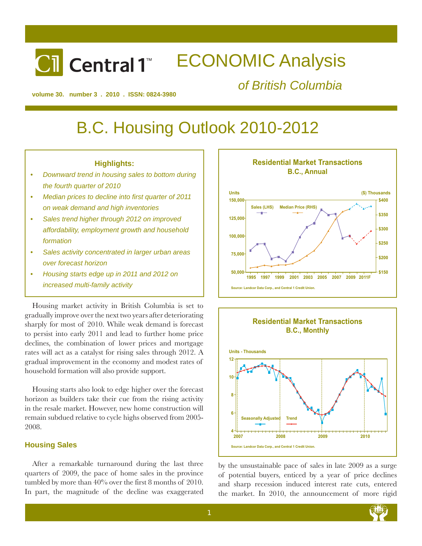# ECONOMIC Analysis **Cil** Central 1™

*of British Columbia*

**volume 30. number 3 . 2010 . ISSN: 0824-3980**

# B.C. Housing Outlook 2010-2012

# **Highlights:**

- *Downward trend in housing sales to bottom during the fourth quarter of 2010*
- Median prices to decline into first quarter of 2011 *on weak demand and high inventories*
- *Sales trend higher through 2012 on improved affordability, employment growth and household formation*
- *Sales activity concentrated in larger urban areas over forecast horizon*
- *Housing starts edge up in 2011 and 2012 on increased multi-family activity*

Housing market activity in British Columbia is set to gradually improve over the next two years after deteriorating sharply for most of 2010. While weak demand is forecast to persist into early 2011 and lead to further home price declines, the combination of lower prices and mortgage rates will act as a catalyst for rising sales through 2012. A gradual improvement in the economy and modest rates of household formation will also provide support.

Housing starts also look to edge higher over the forecast horizon as builders take their cue from the rising activity in the resale market. However, new home construction will remain subdued relative to cycle highs observed from 2005- 2008.

## **Housing Sales**

After a remarkable turnaround during the last three quarters of 2009, the pace of home sales in the province tumbled by more than 40% over the first 8 months of 2010. In part, the magnitude of the decline was exaggerated





by the unsustainable pace of sales in late 2009 as a surge of potential buyers, enticed by a year of price declines and sharp recession induced interest rate cuts, entered the market. In 2010, the announcement of more rigid

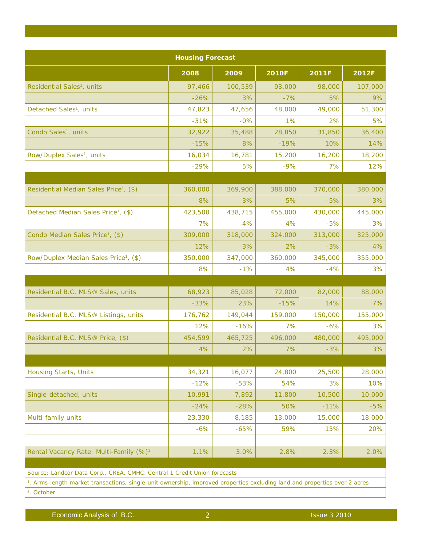| <b>Housing Forecast</b>                                                                                                                                                                                           |         |         |              |         |         |  |  |  |
|-------------------------------------------------------------------------------------------------------------------------------------------------------------------------------------------------------------------|---------|---------|--------------|---------|---------|--|--|--|
|                                                                                                                                                                                                                   | 2008    | 2009    | <b>2010F</b> | 2011F   | 2012F   |  |  |  |
| Residential Sales <sup>1</sup> , units                                                                                                                                                                            | 97,466  | 100,539 | 93,000       | 98,000  | 107,000 |  |  |  |
|                                                                                                                                                                                                                   | $-26%$  | 3%      | $-7%$        | 5%      | 9%      |  |  |  |
| Detached Sales <sup>1</sup> , units                                                                                                                                                                               | 47,823  | 47,656  | 48,000       | 49,000  | 51,300  |  |  |  |
|                                                                                                                                                                                                                   | $-31%$  | $-0%$   | 1%           | 2%      | 5%      |  |  |  |
| Condo Sales <sup>1</sup> , units                                                                                                                                                                                  | 32,922  | 35,488  | 28,850       | 31,850  | 36,400  |  |  |  |
|                                                                                                                                                                                                                   | $-15%$  | 8%      | $-19%$       | 10%     | 14%     |  |  |  |
| Row/Duplex Sales <sup>1</sup> , units                                                                                                                                                                             | 16,034  | 16,781  | 15,200       | 16,200  | 18,200  |  |  |  |
|                                                                                                                                                                                                                   | $-29%$  | 5%      | $-9%$        | 7%      | 12%     |  |  |  |
|                                                                                                                                                                                                                   |         |         |              |         |         |  |  |  |
| Residential Median Sales Price <sup>1</sup> , (\$)                                                                                                                                                                | 360,000 | 369,900 | 388,000      | 370,000 | 380,000 |  |  |  |
|                                                                                                                                                                                                                   | 8%      | 3%      | 5%           | $-5%$   | 3%      |  |  |  |
| Detached Median Sales Price <sup>1</sup> , (\$)                                                                                                                                                                   | 423,500 | 438,715 | 455,000      | 430,000 | 445,000 |  |  |  |
|                                                                                                                                                                                                                   | 7%      | 4%      | 4%           | $-5%$   | 3%      |  |  |  |
| Condo Median Sales Price <sup>1</sup> , (\$)                                                                                                                                                                      | 309,000 | 318,000 | 324,000      | 313,000 | 325,000 |  |  |  |
|                                                                                                                                                                                                                   | 12%     | 3%      | 2%           | $-3%$   | 4%      |  |  |  |
| Row/Duplex Median Sales Price <sup>1</sup> , (\$)                                                                                                                                                                 | 350,000 | 347,000 | 360,000      | 345,000 | 355,000 |  |  |  |
|                                                                                                                                                                                                                   | 8%      | $-1%$   | 4%           | $-4%$   | 3%      |  |  |  |
|                                                                                                                                                                                                                   |         |         |              |         |         |  |  |  |
| Residential B.C. MLS <sup>®</sup> Sales, units                                                                                                                                                                    | 68,923  | 85,028  | 72,000       | 82,000  | 88,000  |  |  |  |
|                                                                                                                                                                                                                   | $-33%$  | 23%     | $-15%$       | 14%     | 7%      |  |  |  |
| Residential B.C. MLS® Listings, units                                                                                                                                                                             | 176,762 | 149,044 | 159,000      | 150,000 | 155,000 |  |  |  |
|                                                                                                                                                                                                                   | 12%     | $-16%$  | 7%           | $-6%$   | 3%      |  |  |  |
| Residential B.C. MLS <sup>®</sup> Price, (\$)                                                                                                                                                                     | 454,599 | 465,725 | 496,000      | 480,000 | 495,000 |  |  |  |
|                                                                                                                                                                                                                   | 4%      | 2%      | 7%           | $-3%$   | 3%      |  |  |  |
|                                                                                                                                                                                                                   |         |         |              |         |         |  |  |  |
| <b>Housing Starts, Units</b>                                                                                                                                                                                      | 34,321  | 16,077  | 24,800       | 25,500  | 28,000  |  |  |  |
|                                                                                                                                                                                                                   | $-12%$  | $-53%$  | 54%          | 3%      | 10%     |  |  |  |
| Single-detached, units                                                                                                                                                                                            | 10,991  | 7,892   | 11,800       | 10,500  | 10,000  |  |  |  |
|                                                                                                                                                                                                                   | $-24%$  | $-28%$  | 50%          | $-11%$  | $-5%$   |  |  |  |
| Multi-family units                                                                                                                                                                                                | 23,330  | 8,185   | 13,000       | 15,000  | 18,000  |  |  |  |
|                                                                                                                                                                                                                   | $-6%$   | $-65%$  | 59%          | 15%     | 20%     |  |  |  |
|                                                                                                                                                                                                                   |         |         |              |         |         |  |  |  |
| Rental Vacancy Rate: Multi-Family (%) <sup>2</sup>                                                                                                                                                                | 1.1%    | 3.0%    | 2.8%         | 2.3%    | 2.0%    |  |  |  |
|                                                                                                                                                                                                                   |         |         |              |         |         |  |  |  |
| Source: Landcor Data Corp., CREA, CMHC, Central 1 Credit Union forecasts<br><sup>1</sup> . Arms-length market transactions, single-unit ownership, improved properties excluding land and properties over 2 acres |         |         |              |         |         |  |  |  |

*2. October*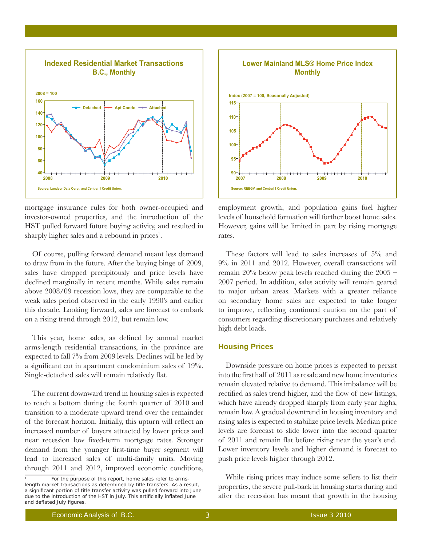

mortgage insurance rules for both owner-occupied and investor-owned properties, and the introduction of the HST pulled forward future buying activity, and resulted in sharply higher sales and a rebound in prices<sup>1</sup>.

Of course, pulling forward demand meant less demand to draw from in the future. After the buying binge of 2009, sales have dropped precipitously and price levels have declined marginally in recent months. While sales remain above 2008/09 recession lows, they are comparable to the weak sales period observed in the early 1990's and earlier this decade. Looking forward, sales are forecast to embark on a rising trend through 2012, but remain low.

This year, home sales, as defined by annual market arms-length residential transactions, in the province are expected to fall 7% from 2009 levels. Declines will be led by a significant cut in apartment condominium sales of 19%. Single-detached sales will remain relatively flat.

The current downward trend in housing sales is expected to reach a bottom during the fourth quarter of 2010 and transition to a moderate upward trend over the remainder of the forecast horizon. Initially, this upturn will reflect an increased number of buyers attracted by lower prices and near recession low fixed-term mortgage rates. Stronger demand from the younger first-time buyer segment will lead to increased sales of multi-family units. Moving through 2011 and 2012, improved economic conditions,



employment growth, and population gains fuel higher levels of household formation will further boost home sales. However, gains will be limited in part by rising mortgage rates.

These factors will lead to sales increases of 5% and 9% in 2011 and 2012. However, overall transactions will remain 20% below peak levels reached during the 2005 – 2007 period. In addition, sales activity will remain geared to major urban areas. Markets with a greater reliance on secondary home sales are expected to take longer to improve, reflecting continued caution on the part of consumers regarding discretionary purchases and relatively high debt loads.

# **Housing Prices**

Downside pressure on home prices is expected to persist into the first half of 2011 as resale and new home inventories remain elevated relative to demand. This imbalance will be rectified as sales trend higher, and the flow of new listings, which have already dropped sharply from early year highs, remain low. A gradual downtrend in housing inventory and rising sales is expected to stabilize price levels. Median price levels are forecast to slide lower into the second quarter of 2011 and remain flat before rising near the year's end. Lower inventory levels and higher demand is forecast to push price levels higher through 2012.

While rising prices may induce some sellers to list their properties, the severe pull-back in housing starts during and after the recession has meant that growth in the housing

For the purpose of this report, home sales refer to armslength market transactions as determined by title transfers. As a result, a significant portion of title transfer activity was pulled forward into June due to the introduction of the HST in July. This artificially inflated June and deflated July figures.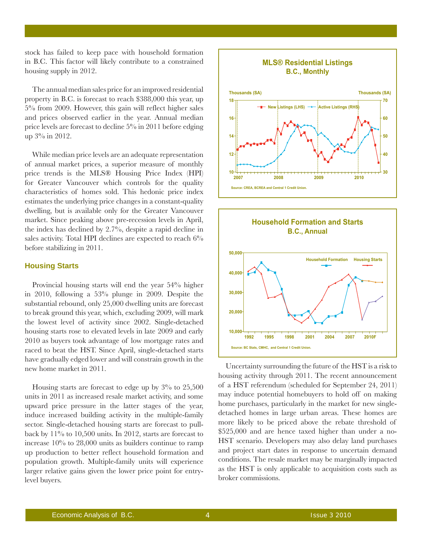stock has failed to keep pace with household formation in B.C. This factor will likely contribute to a constrained housing supply in 2012.

The annual median sales price for an improved residential property in B.C. is forecast to reach \$388,000 this year, up 5% from 2009. However, this gain will reflect higher sales and prices observed earlier in the year. Annual median price levels are forecast to decline 5% in 2011 before edging up 3% in 2012.

While median price levels are an adequate representation of annual market prices, a superior measure of monthly price trends is the MLS® Housing Price Index (HPI) for Greater Vancouver which controls for the quality characteristics of homes sold. This hedonic price index estimates the underlying price changes in a constant-quality dwelling, but is available only for the Greater Vancouver market. Since peaking above pre-recession levels in April, the index has declined by 2.7%, despite a rapid decline in sales activity. Total HPI declines are expected to reach 6% before stabilizing in 2011.

#### **Housing Starts**

Provincial housing starts will end the year 54% higher in 2010, following a 53% plunge in 2009. Despite the substantial rebound, only 25,000 dwelling units are forecast to break ground this year, which, excluding 2009, will mark the lowest level of activity since 2002. Single-detached housing starts rose to elevated levels in late 2009 and early 2010 as buyers took advantage of low mortgage rates and raced to beat the HST. Since April, single-detached starts have gradually edged lower and will constrain growth in the new home market in 2011.

Housing starts are forecast to edge up by 3% to 25,500 units in 2011 as increased resale market activity, and some upward price pressure in the latter stages of the year, induce increased building activity in the multiple-family sector. Single-detached housing starts are forecast to pullback by 11% to 10,500 units. In 2012, starts are forecast to increase 10% to 28,000 units as builders continue to ramp up production to better reflect household formation and population growth. Multiple-family units will experience larger relative gains given the lower price point for entrylevel buyers.





Uncertainty surrounding the future of the HST is a risk to housing activity through 2011. The recent announcement of a HST referendum (scheduled for September 24, 2011) may induce potential homebuyers to hold off on making home purchases, particularly in the market for new singledetached homes in large urban areas. These homes are more likely to be priced above the rebate threshold of \$525,000 and are hence taxed higher than under a no-HST scenario. Developers may also delay land purchases and project start dates in response to uncertain demand conditions. The resale market may be marginally impacted as the HST is only applicable to acquisition costs such as broker commissions.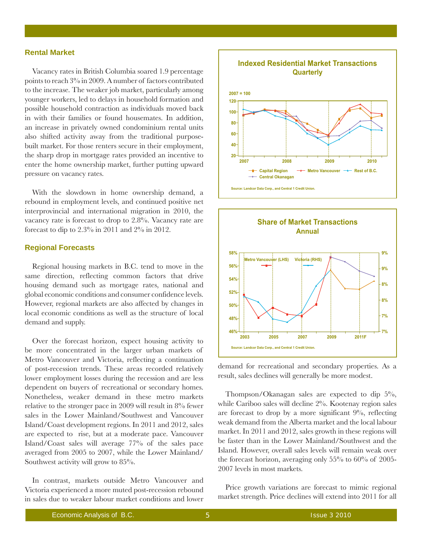## **Rental Market**

Vacancy rates in British Columbia soared 1.9 percentage points to reach 3% in 2009. A number of factors contributed to the increase. The weaker job market, particularly among younger workers, led to delays in household formation and possible household contraction as individuals moved back in with their families or found housemates. In addition, an increase in privately owned condominium rental units also shifted activity away from the traditional purposebuilt market. For those renters secure in their employment, the sharp drop in mortgage rates provided an incentive to enter the home ownership market, further putting upward pressure on vacancy rates.

With the slowdown in home ownership demand, a rebound in employment levels, and continued positive net interprovincial and international migration in 2010, the vacancy rate is forecast to drop to 2.8%. Vacancy rate are forecast to dip to 2.3% in 2011 and 2% in 2012.

#### **Regional Forecasts**

Regional housing markets in B.C. tend to move in the same direction, reflecting common factors that drive housing demand such as mortgage rates, national and global economic conditions and consumer confidence levels. However, regional markets are also affected by changes in local economic conditions as well as the structure of local demand and supply.

Over the forecast horizon, expect housing activity to be more concentrated in the larger urban markets of Metro Vancouver and Victoria, reflecting a continuation of post-recession trends. These areas recorded relatively lower employment losses during the recession and are less dependent on buyers of recreational or secondary homes. Nonetheless, weaker demand in these metro markets relative to the stronger pace in 2009 will result in 8% fewer sales in the Lower Mainland/Southwest and Vancouver Island/Coast development regions. In 2011 and 2012, sales are expected to rise, but at a moderate pace. Vancouver Island/Coast sales will average 77% of the sales pace averaged from 2005 to 2007, while the Lower Mainland/ Southwest activity will grow to 85%.

In contrast, markets outside Metro Vancouver and Victoria experienced a more muted post-recession rebound in sales due to weaker labour market conditions and lower





demand for recreational and secondary properties. As a result, sales declines will generally be more modest.

Thompson/Okanagan sales are expected to dip 5%, while Cariboo sales will decline 2%. Kootenay region sales are forecast to drop by a more significant 9%, reflecting weak demand from the Alberta market and the local labour market. In 2011 and 2012, sales growth in these regions will be faster than in the Lower Mainland/Southwest and the Island. However, overall sales levels will remain weak over the forecast horizon, averaging only 55% to 60% of 2005- 2007 levels in most markets.

Price growth variations are forecast to mimic regional market strength. Price declines will extend into 2011 for all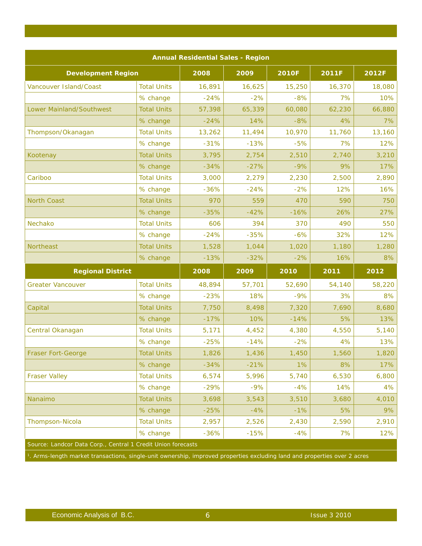| <b>Annual Residential Sales - Region</b>                     |                    |        |        |              |        |        |  |
|--------------------------------------------------------------|--------------------|--------|--------|--------------|--------|--------|--|
| <b>Development Region</b>                                    |                    | 2008   | 2009   | <b>2010F</b> | 2011F  | 2012F  |  |
| Vancouver Island/Coast                                       | <b>Total Units</b> | 16,891 | 16,625 | 15,250       | 16,370 | 18,080 |  |
|                                                              | % change           | $-24%$ | $-2%$  | $-8%$        | 7%     | 10%    |  |
| Lower Mainland/Southwest                                     | <b>Total Units</b> | 57,398 | 65,339 | 60,080       | 62,230 | 66,880 |  |
|                                                              | % change           | $-24%$ | 14%    | $-8%$        | 4%     | 7%     |  |
| Thompson/Okanagan                                            | <b>Total Units</b> | 13,262 | 11,494 | 10,970       | 11,760 | 13,160 |  |
|                                                              | % change           | $-31%$ | $-13%$ | $-5%$        | 7%     | 12%    |  |
| Kootenay                                                     | <b>Total Units</b> | 3,795  | 2,754  | 2,510        | 2,740  | 3,210  |  |
|                                                              | % change           | $-34%$ | $-27%$ | $-9%$        | 9%     | 17%    |  |
| Cariboo                                                      | <b>Total Units</b> | 3,000  | 2,279  | 2,230        | 2,500  | 2,890  |  |
|                                                              | % change           | $-36%$ | $-24%$ | $-2%$        | 12%    | 16%    |  |
| <b>North Coast</b>                                           | <b>Total Units</b> | 970    | 559    | 470          | 590    | 750    |  |
|                                                              | % change           | $-35%$ | $-42%$ | $-16%$       | 26%    | 27%    |  |
| Nechako                                                      | <b>Total Units</b> | 606    | 394    | 370          | 490    | 550    |  |
|                                                              | % change           | $-24%$ | $-35%$ | $-6%$        | 32%    | 12%    |  |
| <b>Northeast</b>                                             | <b>Total Units</b> | 1,528  | 1,044  | 1,020        | 1,180  | 1,280  |  |
|                                                              | % change           | $-13%$ | $-32%$ | $-2%$        | 16%    | 8%     |  |
| <b>Regional District</b>                                     |                    | 2008   | 2009   | 2010         | 2011   | 2012   |  |
| <b>Greater Vancouver</b>                                     | <b>Total Units</b> | 48,894 | 57,701 | 52,690       | 54,140 | 58,220 |  |
|                                                              | % change           | $-23%$ | 18%    | $-9%$        | 3%     | 8%     |  |
| Capital                                                      | <b>Total Units</b> | 7,750  | 8,498  | 7,320        | 7,690  | 8,680  |  |
|                                                              | % change           | $-17%$ | 10%    | $-14%$       | 5%     | 13%    |  |
| Central Okanagan                                             | <b>Total Units</b> | 5,171  | 4,452  | 4,380        | 4,550  | 5,140  |  |
|                                                              | % change           | $-25%$ | $-14%$ | $-2%$        | 4%     | 13%    |  |
| <b>Fraser Fort-George</b>                                    | <b>Total Units</b> | 1,826  | 1,436  | 1,450        | 1,560  | 1,820  |  |
|                                                              | % change           | $-34%$ | $-21%$ | 1%           | 8%     | 17%    |  |
| <b>Fraser Valley</b>                                         | <b>Total Units</b> | 6,574  | 5,996  | 5,740        | 6,530  | 6,800  |  |
|                                                              | % change           | $-29%$ | $-9%$  | $-4%$        | 14%    | 4%     |  |
| Nanaimo                                                      | <b>Total Units</b> | 3,698  | 3,543  | 3,510        | 3,680  | 4,010  |  |
|                                                              | % change           | $-25%$ | $-4%$  | $-1%$        | 5%     | 9%     |  |
| Thompson-Nicola                                              | <b>Total Units</b> | 2,957  | 2,526  | 2,430        | 2,590  | 2,910  |  |
|                                                              | % change           | $-36%$ | $-15%$ | $-4%$        | 7%     | 12%    |  |
| Source: Landcor Data Corp., Central 1 Credit Union forecasts |                    |        |        |              |        |        |  |
|                                                              |                    |        |        |              |        |        |  |

*1. Arms-length market transactions, single-unit ownership, improved properties excluding land and properties over 2 acres*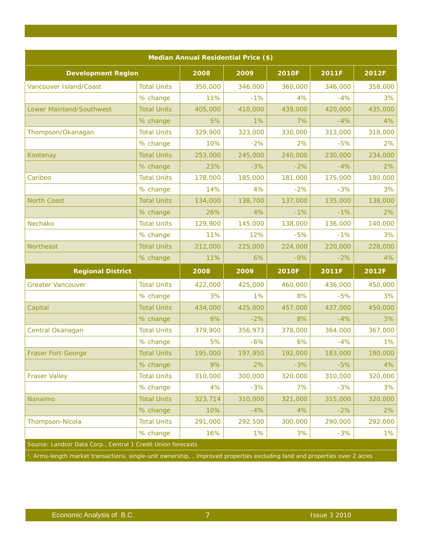| Median Annual Residential Price (\$)                                                                                                    |                    |         |         |              |              |         |  |  |
|-----------------------------------------------------------------------------------------------------------------------------------------|--------------------|---------|---------|--------------|--------------|---------|--|--|
| <b>Development Region</b>                                                                                                               |                    | 2008    | 2009    | <b>2010F</b> | <b>2011F</b> | 2012F   |  |  |
| Vancouver Island/Coast                                                                                                                  | <b>Total Units</b> | 350,000 | 346,000 | 360,000      | 346,000      | 358,000 |  |  |
|                                                                                                                                         | % change           | 11%     | $-1%$   | 4%           | $-4%$        | 3%      |  |  |
| Lower Mainland/Southwest                                                                                                                | <b>Total Units</b> | 405,000 | 410,000 | 439,000      | 420,000      | 435,000 |  |  |
|                                                                                                                                         | % change           | 5%      | 1%      | 7%           | $-4%$        | 4%      |  |  |
| Thompson/Okanagan                                                                                                                       | <b>Total Units</b> | 329,900 | 323,000 | 330,000      | 313,000      | 318,000 |  |  |
|                                                                                                                                         | % change           | 10%     | $-2%$   | 2%           | $-5%$        | 2%      |  |  |
| Kootenay                                                                                                                                | <b>Total Units</b> | 253,000 | 245,000 | 240,000      | 230,000      | 234,000 |  |  |
|                                                                                                                                         | % change           | 23%     | $-3%$   | $-2%$        | $-4%$        | 2%      |  |  |
| Cariboo                                                                                                                                 | <b>Total Units</b> | 178,000 | 185,000 | 181,000      | 175,000      | 180,000 |  |  |
|                                                                                                                                         | % change           | 14%     | 4%      | $-2%$        | $-3%$        | 3%      |  |  |
| <b>North Coast</b>                                                                                                                      | <b>Total Units</b> | 134,000 | 138,700 | 137,000      | 135,000      | 138,000 |  |  |
|                                                                                                                                         | % change           | 26%     | 4%      | $-1%$        | $-1%$        | 2%      |  |  |
| Nechako                                                                                                                                 | <b>Total Units</b> | 129,900 | 145,000 | 138,000      | 136,000      | 140,000 |  |  |
|                                                                                                                                         | % change           | 11%     | 12%     | $-5%$        | $-1%$        | 3%      |  |  |
| <b>Northeast</b>                                                                                                                        | <b>Total Units</b> | 212,000 | 225,000 | 224,000      | 220,000      | 228,000 |  |  |
|                                                                                                                                         | % change           | 11%     | 6%      | $-0\%$       | $-2%$        | 4%      |  |  |
| <b>Regional District</b>                                                                                                                |                    | 2008    | 2009    | <b>2010F</b> | 2011F        | 2012F   |  |  |
| <b>Greater Vancouver</b>                                                                                                                | <b>Total Units</b> | 422,000 | 425,000 | 460,000      | 436,000      | 450,000 |  |  |
|                                                                                                                                         | % change           | 3%      | 1%      | 8%           | $-5%$        | 3%      |  |  |
| Capital                                                                                                                                 | <b>Total Units</b> | 434,000 | 425,000 | 457,000      | 437,000      | 450,000 |  |  |
|                                                                                                                                         | % change           | 6%      | $-2%$   | 8%           | $-4%$        | 3%      |  |  |
| Central Okanagan                                                                                                                        | <b>Total Units</b> | 379,900 | 356,973 | 378,000      | 364,000      | 367,000 |  |  |
|                                                                                                                                         | % change           | 5%      | $-6%$   | 6%           | $-4%$        | 1%      |  |  |
| Fraser Fort-George                                                                                                                      | <b>Total Units</b> | 195,000 | 197,950 | 192,000      | 183,000      | 190,000 |  |  |
|                                                                                                                                         | % change           | 9%      | 2%      | $-3%$        | $-5%$        | 4%      |  |  |
| <b>Fraser Valley</b>                                                                                                                    | <b>Total Units</b> | 310,000 | 300,000 | 320,000      | 310,000      | 320,000 |  |  |
|                                                                                                                                         | % change           | 4%      | $-3%$   | 7%           | $-3%$        | 3%      |  |  |
| Nanaimo                                                                                                                                 | <b>Total Units</b> | 323,714 | 310,000 | 321,000      | 315,000      | 320,000 |  |  |
|                                                                                                                                         | % change           | 10%     | $-4%$   | 4%           | $-2%$        | 2%      |  |  |
| Thompson-Nicola                                                                                                                         | <b>Total Units</b> | 291,000 | 292,500 | 300,000      | 290,000      | 292,000 |  |  |
|                                                                                                                                         | % change           | 16%     | 1%      | 3%           | $-3%$        | 1%      |  |  |
| Source: Landcor Data Corp., Central 1 Credit Union forecasts                                                                            |                    |         |         |              |              |         |  |  |
| <sup>1</sup> . Arms-length market transactions, single-unit ownership, , improved properties excluding land and properties over 2 acres |                    |         |         |              |              |         |  |  |